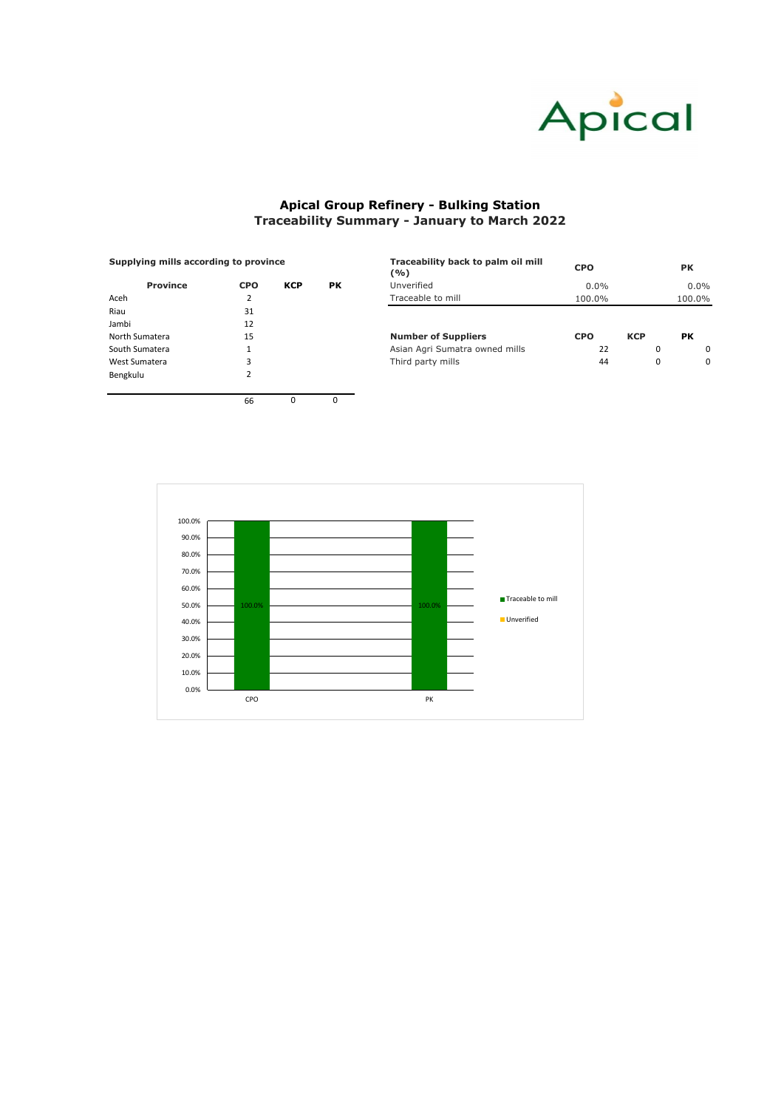| Supplying mills according to province |            |            |           | Traceability back to palm oil mill<br>(%) | <b>CPO</b> | <b>PK</b>  |           |
|---------------------------------------|------------|------------|-----------|-------------------------------------------|------------|------------|-----------|
| <b>Province</b>                       | <b>CPO</b> | <b>KCP</b> | <b>PK</b> | Unverified                                | $0.0\%$    |            | $0.0\%$   |
| Aceh                                  |            |            |           | Traceable to mill                         | 100.0%     |            | 100.0%    |
| Riau                                  | 31         |            |           |                                           |            |            |           |
| Jambi                                 | 12         |            |           |                                           |            |            |           |
| North Sumatera                        | 15         |            |           | <b>Number of Suppliers</b>                | <b>CPO</b> | <b>KCP</b> | <b>PK</b> |
| South Sumatera                        |            |            |           | Asian Agri Sumatra owned mills            | 22         | 0          | $\Omega$  |
| West Sumatera                         |            |            |           | Third party mills                         | 44         | 0          | $\Omega$  |
| _ _ _                                 | $\sim$     |            |           |                                           |            |            |           |

| <b>Province</b> | <b>CPO</b>     | <b>KCP</b> | <b>PK</b> |
|-----------------|----------------|------------|-----------|
| Aceh            | $\overline{2}$ |            |           |
| Riau            | 31             |            |           |
| Jambi           | 12             |            |           |
| North Sumatera  | 15             |            |           |
| South Sumatera  | 1              |            |           |
| West Sumatera   | 3              |            |           |
| Bengkulu        | $\overline{2}$ |            |           |
|                 |                |            |           |
|                 | 66             | n          |           |



## **Apical Group Refinery - Bulking Station Traceability Summary - January to March 2022**

## **Supplying mills according to province**

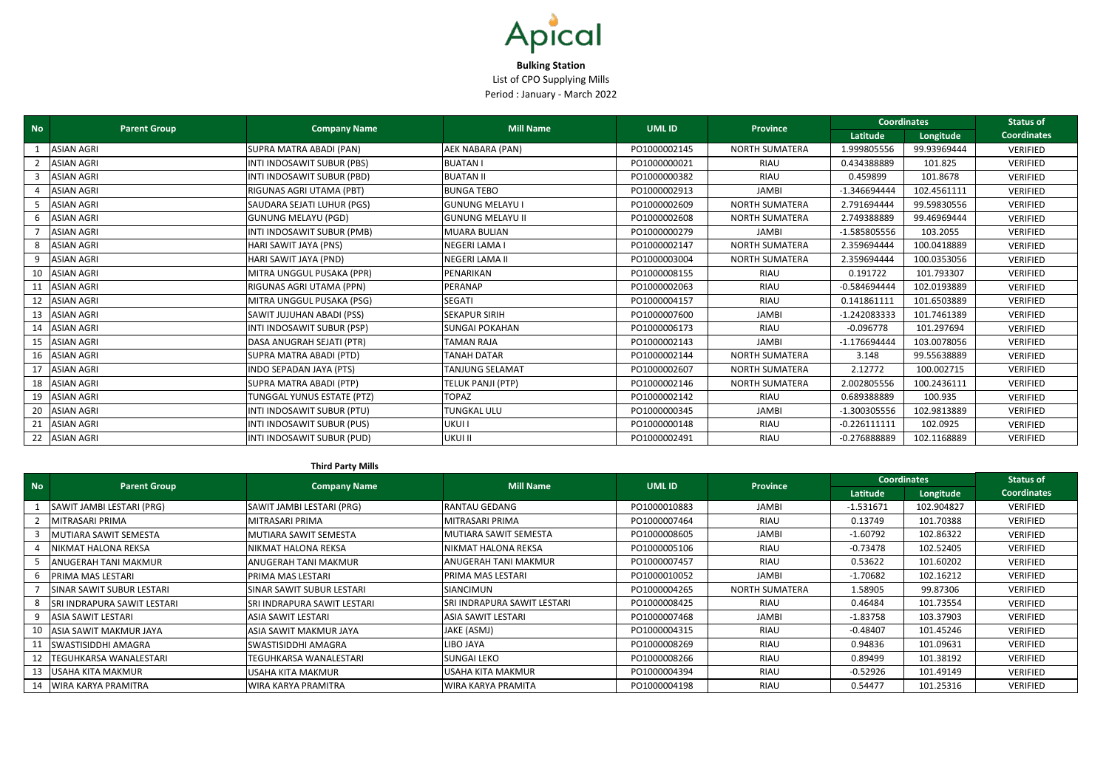| <b>No</b> | <b>Parent Group</b> | <b>Company Name</b>        | <b>Mill Name</b>         | <b>UMLID</b> | <b>Province</b>       | <b>Coordinates</b> |             | <b>Status of</b>   |
|-----------|---------------------|----------------------------|--------------------------|--------------|-----------------------|--------------------|-------------|--------------------|
|           |                     |                            |                          |              |                       | Latitude           | Longitude   | <b>Coordinates</b> |
|           | <b>ASIAN AGRI</b>   | SUPRA MATRA ABADI (PAN)    | AEK NABARA (PAN)         | PO1000002145 | <b>NORTH SUMATERA</b> | 1.999805556        | 99.93969444 | VERIFIED           |
|           | <b>ASIAN AGRI</b>   | INTI INDOSAWIT SUBUR (PBS) | <b>BUATAN I</b>          | PO1000000021 | <b>RIAU</b>           | 0.434388889        | 101.825     | VERIFIED           |
|           | <b>ASIAN AGRI</b>   | INTI INDOSAWIT SUBUR (PBD) | <b>BUATAN II</b>         | PO1000000382 | <b>RIAU</b>           | 0.459899           | 101.8678    | VERIFIED           |
|           | <b>ASIAN AGRI</b>   | RIGUNAS AGRI UTAMA (PBT)   | <b>BUNGA TEBO</b>        | PO1000002913 | JAMBI                 | -1.346694444       | 102.4561111 | VERIFIED           |
|           | <b>ASIAN AGRI</b>   | SAUDARA SEJATI LUHUR (PGS) | <b>GUNUNG MELAYU I</b>   | PO1000002609 | <b>NORTH SUMATERA</b> | 2.791694444        | 99.59830556 | VERIFIED           |
|           | <b>ASIAN AGRI</b>   | <b>GUNUNG MELAYU (PGD)</b> | <b>GUNUNG MELAYU II</b>  | PO1000002608 | <b>NORTH SUMATERA</b> | 2.749388889        | 99.46969444 | VERIFIED           |
|           | <b>ASIAN AGRI</b>   | INTI INDOSAWIT SUBUR (PMB) | <b>MUARA BULIAN</b>      | PO1000000279 | <b>JAMBI</b>          | -1.585805556       | 103.2055    | VERIFIED           |
|           | <b>ASIAN AGRI</b>   | HARI SAWIT JAYA (PNS)      | <b>NEGERI LAMA I</b>     | PO1000002147 | <b>NORTH SUMATERA</b> | 2.359694444        | 100.0418889 | VERIFIED           |
|           | <b>ASIAN AGRI</b>   | HARI SAWIT JAYA (PND)      | NEGERI LAMA II           | PO1000003004 | <b>NORTH SUMATERA</b> | 2.359694444        | 100.0353056 | VERIFIED           |
| 10        | <b>ASIAN AGRI</b>   | MITRA UNGGUL PUSAKA (PPR)  | PENARIKAN                | PO1000008155 | <b>RIAU</b>           | 0.191722           | 101.793307  | VERIFIED           |
|           | <b>ASIAN AGRI</b>   | RIGUNAS AGRI UTAMA (PPN)   | PERANAP                  | PO1000002063 | RIAU                  | $-0.584694444$     | 102.0193889 | VERIFIED           |
| 12        | <b>ASIAN AGRI</b>   | MITRA UNGGUL PUSAKA (PSG)  | <b>SEGATI</b>            | PO1000004157 | RIAU                  | 0.141861111        | 101.6503889 | VERIFIED           |
| -13       | <b>ASIAN AGRI</b>   | SAWIT JUJUHAN ABADI (PSS)  | <b>SEKAPUR SIRIH</b>     | PO1000007600 | JAMBI                 | -1.242083333       | 101.7461389 | VERIFIED           |
| 14        | <b>ASIAN AGRI</b>   | INTI INDOSAWIT SUBUR (PSP) | <b>SUNGAI POKAHAN</b>    | PO1000006173 | RIAU                  | $-0.096778$        | 101.297694  | VERIFIED           |
| 15        | <b>ASIAN AGRI</b>   | DASA ANUGRAH SEJATI (PTR)  | <b>TAMAN RAJA</b>        | PO1000002143 | <b>JAMBI</b>          | $-1.176694444$     | 103.0078056 | VERIFIED           |
| 16        | <b>ASIAN AGRI</b>   | SUPRA MATRA ABADI (PTD)    | <b>TANAH DATAR</b>       | PO1000002144 | <b>NORTH SUMATERA</b> | 3.148              | 99.55638889 | VERIFIED           |
| 17        | <b>ASIAN AGRI</b>   | INDO SEPADAN JAYA (PTS)    | <b>TANJUNG SELAMAT</b>   | PO1000002607 | <b>NORTH SUMATERA</b> | 2.12772            | 100.002715  | VERIFIED           |
| 18        | <b>ASIAN AGRI</b>   | SUPRA MATRA ABADI (PTP)    | <b>TELUK PANJI (PTP)</b> | PO1000002146 | <b>NORTH SUMATERA</b> | 2.002805556        | 100.2436111 | VERIFIED           |
| 19        | <b>ASIAN AGRI</b>   | TUNGGAL YUNUS ESTATE (PTZ) | <b>TOPAZ</b>             | PO1000002142 | <b>RIAU</b>           | 0.689388889        | 100.935     | VERIFIED           |
| 20        | <b>ASIAN AGRI</b>   | INTI INDOSAWIT SUBUR (PTU) | <b>TUNGKAL ULU</b>       | PO1000000345 | <b>JAMBI</b>          | $-1.300305556$     | 102.9813889 | <b>VERIFIED</b>    |
| 21        | <b>ASIAN AGRI</b>   | INTI INDOSAWIT SUBUR (PUS) | <b>UKUI I</b>            | PO1000000148 | RIAU                  | $-0.226111111$     | 102.0925    | VERIFIED           |
| 22        | <b>ASIAN AGRI</b>   | INTI INDOSAWIT SUBUR (PUD) | <b>UKUI II</b>           | PO1000002491 | RIAU                  | $-0.276888889$     | 102.1168889 | VERIFIED           |

## **Third Party Mills**

| <b>No</b> | <b>Parent Group</b>                |                                    | <b>Mill Name</b>            | UML ID       | <b>Province</b> | <b>Coordinates</b> |            | <b>Status of</b>   |
|-----------|------------------------------------|------------------------------------|-----------------------------|--------------|-----------------|--------------------|------------|--------------------|
|           |                                    | <b>Company Name</b>                |                             |              |                 | Latitude           | Longitude  | <b>Coordinates</b> |
|           | SAWIT JAMBI LESTARI (PRG)          | SAWIT JAMBI LESTARI (PRG)          | <b>RANTAU GEDANG</b>        | PO1000010883 | JAMBI           | $-1.531671$        | 102.904827 | <b>VERIFIED</b>    |
|           | IMITRASARI PRIMA                   | MITRASARI PRIMA                    | MITRASARI PRIMA             | PO1000007464 | RIAU            | 0.13749            | 101.70388  | <b>VERIFIED</b>    |
|           | MUTIARA SAWIT SEMESTA              | MUTIARA SAWIT SEMESTA              | MUTIARA SAWIT SEMESTA       | PO1000008605 | JAMBI           | $-1.60792$         | 102.86322  | <b>VERIFIED</b>    |
|           | NIKMAT HALONA REKSA                | NIKMAT HALONA REKSA                | INIKMAT HALONA REKSA        | PO1000005106 | RIAU            | $-0.73478$         | 102.52405  | <b>VERIFIED</b>    |
|           | ANUGERAH TANI MAKMUR               | ANUGERAH TANI MAKMUR               | ANUGERAH TANI MAKMUR        | PO1000007457 | RIAU            | 0.53622            | 101.60202  | <b>VERIFIED</b>    |
|           | IPRIMA MAS LESTARI                 | PRIMA MAS LESTARI                  | PRIMA MAS LESTARI           | PO1000010052 | JAMBI           | $-1.70682$         | 102.16212  | VERIFIED           |
|           | SINAR SAWIT SUBUR LESTARI          | SINAR SAWIT SUBUR LESTARI          | <b>SIANCIMUN</b>            | PO1000004265 | NORTH SUMATERA  | 1.58905            | 99.87306   | <b>VERIFIED</b>    |
|           | <b>SRI INDRAPURA SAWIT LESTARI</b> | <b>SRI INDRAPURA SAWIT LESTARI</b> | SRI INDRAPURA SAWIT LESTARI | PO1000008425 | RIAU            | 0.46484            | 101.73554  | <b>VERIFIED</b>    |
|           | ASIA SAWIT LESTARI                 | ASIA SAWIT LESTARI                 | ASIA SAWIT LESTARI          | PO1000007468 | JAMBI           | $-1.83758$         | 103.37903  | <b>VERIFIED</b>    |
| 10        | ASIA SAWIT MAKMUR JAYA             | ASIA SAWIT MAKMUR JAYA             | JAKE (ASMJ)                 | PO1000004315 | RIAU            | $-0.48407$         | 101.45246  | <b>VERIFIED</b>    |
|           | <b>SWASTISIDDHI AMAGRA</b>         | SWASTISIDDHI AMAGRA                | LIBO JAYA                   | PO1000008269 | RIAU            | 0.94836            | 101.09631  | VERIFIED           |
|           | <b>TEGUHKARSA WANALESTARI</b>      | <b>TEGUHKARSA WANALESTARI</b>      | <b>SUNGAI LEKO</b>          | PO1000008266 | RIAU            | 0.89499            | 101.38192  | <b>VERIFIED</b>    |
|           | 13 USAHA KITA MAKMUR               | USAHA KITA MAKMUR                  | USAHA KITA MAKMUR           | PO1000004394 | RIAU            | $-0.52926$         | 101.49149  | <b>VERIFIED</b>    |
|           | 14   WIRA KARYA PRAMITRA           | WIRA KARYA PRAMITRA                | WIRA KARYA PRAMITA          | PO1000004198 | RIAU            | 0.54477            | 101.25316  | <b>VERIFIED</b>    |



**Bulking Station** List of CPO Supplying Mills Period : January - March 2022